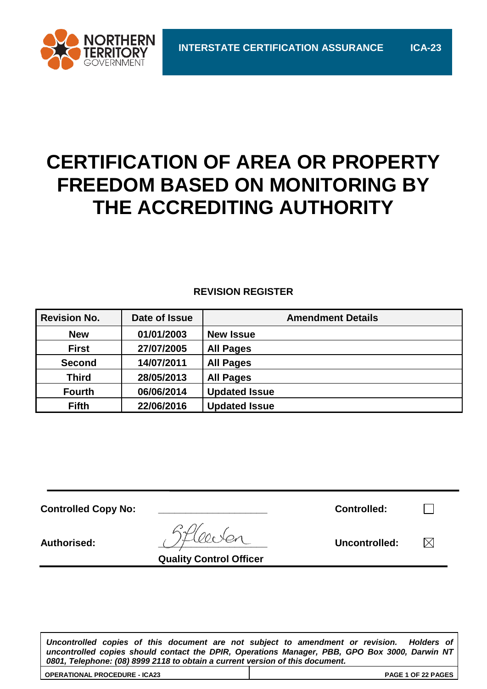

# **CERTIFICATION OF AREA OR PROPERTY FREEDOM BASED ON MONITORING BY THE ACCREDITING AUTHORITY**

#### **REVISION REGISTER**

| <b>Revision No.</b> | Date of Issue | <b>Amendment Details</b> |
|---------------------|---------------|--------------------------|
| <b>New</b>          | 01/01/2003    | <b>New Issue</b>         |
| <b>First</b>        | 27/07/2005    | <b>All Pages</b>         |
| <b>Second</b>       | 14/07/2011    | <b>All Pages</b>         |
| <b>Third</b>        | 28/05/2013    | <b>All Pages</b>         |
| <b>Fourth</b>       | 06/06/2014    | <b>Updated Issue</b>     |
| <b>Fifth</b>        | 22/06/2016    | <b>Updated Issue</b>     |

| <b>Controlled Copy No:</b> |                                               | <b>Controlled:</b> |    |
|----------------------------|-----------------------------------------------|--------------------|----|
| <b>Authorised:</b>         | $GPI_{000}$<br><b>Quality Control Officer</b> | Uncontrolled:      | 'X |

*Uncontrolled copies of this document are not subject to amendment or revision. Holders of uncontrolled copies should contact the DPIR, Operations Manager, PBB, GPO Box 3000, Darwin NT 0801, Telephone: (08) 8999 2118 to obtain a current version of this document.*

**OPERATIONAL PROCEDURE - ICA23 PAGE 1 OF 22 PAGES**

| OPERATIONAL PROCEDURE - ICA23 |  |
|-------------------------------|--|
|                               |  |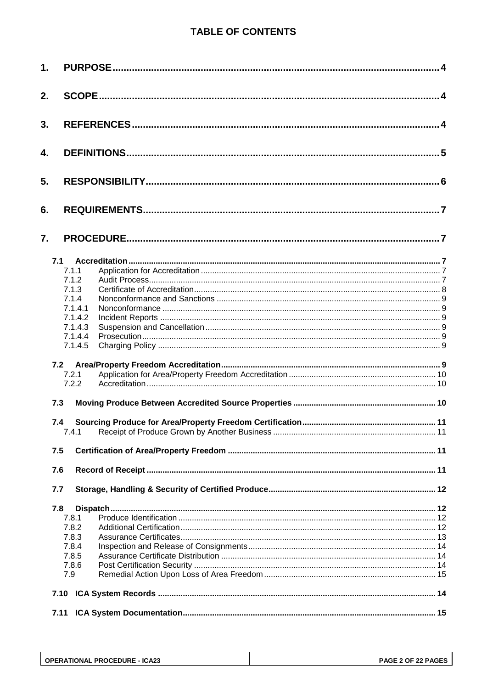# **TABLE OF CONTENTS**

| 1. |         |  |
|----|---------|--|
| 2. |         |  |
| 3. |         |  |
| 4. |         |  |
| 5. |         |  |
| 6. |         |  |
| 7. |         |  |
|    | 7.1     |  |
|    | 7.1.1   |  |
|    | 7.1.2   |  |
|    | 7.1.3   |  |
|    | 7.1.4   |  |
|    | 7.1.4.1 |  |
|    | 7.1.4.2 |  |
|    | 7.1.4.3 |  |
|    | 7.1.4.4 |  |
|    | 7.1.4.5 |  |
|    |         |  |
|    | 7.2     |  |
|    | 7.2.1   |  |
|    | 7.2.2   |  |
|    | 7.3     |  |
|    | 7.4     |  |
|    | 7.4.1   |  |
|    |         |  |
|    | 7.5     |  |
|    | 7.6     |  |
|    | 7.7     |  |
|    | 7.8     |  |
|    | 7.8.1   |  |
|    | 7.8.2   |  |
|    | 7.8.3   |  |
|    | 7.8.4   |  |
|    | 7.8.5   |  |
|    | 7.8.6   |  |
|    | 7.9     |  |
|    |         |  |
|    |         |  |
|    | 7.11    |  |

| <b>OPERATIONAL PROCEDURE - ICA23</b> | PAGE 2 OF 22 PAGES |
|--------------------------------------|--------------------|
|                                      |                    |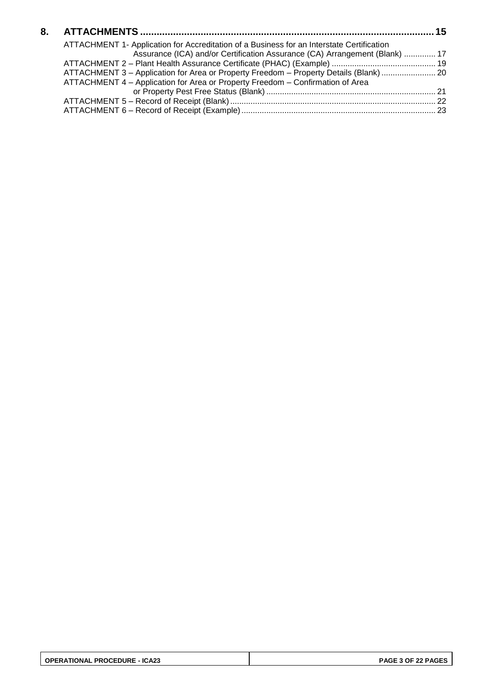| ATTACHMENT 1- Application for Accreditation of a Business for an Interstate Certification |  |
|-------------------------------------------------------------------------------------------|--|
| Assurance (ICA) and/or Certification Assurance (CA) Arrangement (Blank)  17               |  |
|                                                                                           |  |
| ATTACHMENT 3 - Application for Area or Property Freedom - Property Details (Blank)  20    |  |
| ATTACHMENT 4 - Application for Area or Property Freedom - Confirmation of Area            |  |
|                                                                                           |  |
|                                                                                           |  |
|                                                                                           |  |
|                                                                                           |  |

| <b>OPERATIONAL PROCEDURE - ICA23</b> | PAGE 3 OF 22 PAGES |
|--------------------------------------|--------------------|
|--------------------------------------|--------------------|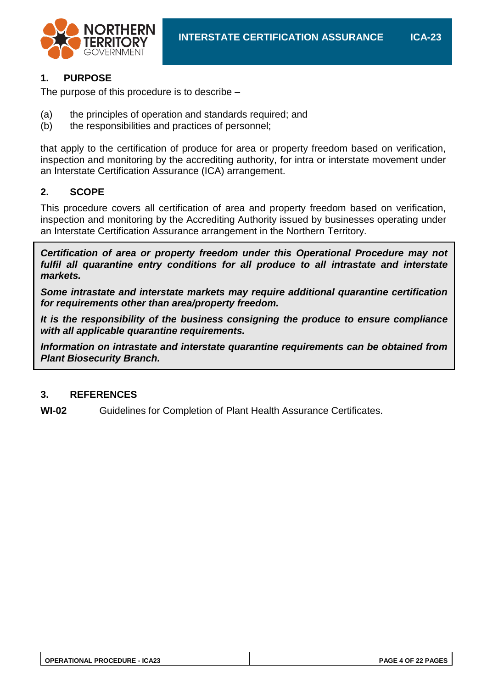

# **1. PURPOSE**

The purpose of this procedure is to describe –

- (a) the principles of operation and standards required; and
- (b) the responsibilities and practices of personnel;

that apply to the certification of produce for area or property freedom based on verification, inspection and monitoring by the accrediting authority, for intra or interstate movement under an Interstate Certification Assurance (ICA) arrangement.

## **2. SCOPE**

This procedure covers all certification of area and property freedom based on verification, inspection and monitoring by the Accrediting Authority issued by businesses operating under an Interstate Certification Assurance arrangement in the Northern Territory.

*Certification of area or property freedom under this Operational Procedure may not*  fulfil all quarantine entry conditions for all produce to all intrastate and interstate *markets.*

*Some intrastate and interstate markets may require additional quarantine certification for requirements other than area/property freedom.*

*It is the responsibility of the business consigning the produce to ensure compliance with all applicable quarantine requirements.*

*Information on intrastate and interstate quarantine requirements can be obtained from Plant Biosecurity Branch.*

#### **3. REFERENCES**

**WI-02** Guidelines for Completion of Plant Health Assurance Certificates.

| <b>OPERATIONAL PROCEDURE - ICA23</b> | PAGE 4 OF 22 PAGES |
|--------------------------------------|--------------------|
|                                      |                    |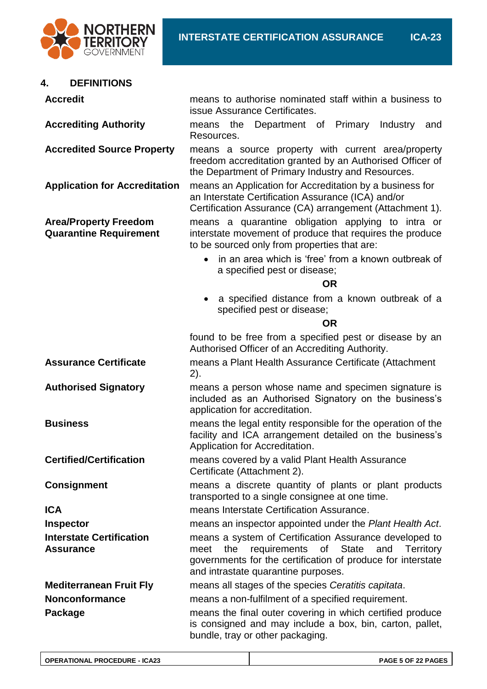

# **4. DEFINITIONS**

| <b>Accredit</b>                                               | means to authorise nominated staff within a business to<br>issue Assurance Certificates.                                                                                                                                 |  |
|---------------------------------------------------------------|--------------------------------------------------------------------------------------------------------------------------------------------------------------------------------------------------------------------------|--|
| <b>Accrediting Authority</b>                                  | Department of Primary<br>Industry<br>the<br>and<br>means<br>Resources.                                                                                                                                                   |  |
| <b>Accredited Source Property</b>                             | means a source property with current area/property<br>freedom accreditation granted by an Authorised Officer of<br>the Department of Primary Industry and Resources.                                                     |  |
| <b>Application for Accreditation</b>                          | means an Application for Accreditation by a business for<br>an Interstate Certification Assurance (ICA) and/or<br>Certification Assurance (CA) arrangement (Attachment 1).                                               |  |
| <b>Area/Property Freedom</b><br><b>Quarantine Requirement</b> | means a quarantine obligation applying to intra or<br>interstate movement of produce that requires the produce<br>to be sourced only from properties that are:                                                           |  |
|                                                               | in an area which is 'free' from a known outbreak of<br>a specified pest or disease;<br><b>OR</b>                                                                                                                         |  |
|                                                               | a specified distance from a known outbreak of a<br>٠<br>specified pest or disease;                                                                                                                                       |  |
|                                                               | <b>OR</b>                                                                                                                                                                                                                |  |
|                                                               | found to be free from a specified pest or disease by an<br>Authorised Officer of an Accrediting Authority.                                                                                                               |  |
| <b>Assurance Certificate</b>                                  | means a Plant Health Assurance Certificate (Attachment<br>2).                                                                                                                                                            |  |
| <b>Authorised Signatory</b>                                   | means a person whose name and specimen signature is<br>included as an Authorised Signatory on the business's<br>application for accreditation.                                                                           |  |
| <b>Business</b>                                               | means the legal entity responsible for the operation of the<br>facility and ICA arrangement detailed on the business's<br>Application for Accreditation.                                                                 |  |
| <b>Certified/Certification</b>                                | means covered by a valid Plant Health Assurance<br>Certificate (Attachment 2).                                                                                                                                           |  |
| <b>Consignment</b>                                            | means a discrete quantity of plants or plant products<br>transported to a single consignee at one time.                                                                                                                  |  |
| <b>ICA</b>                                                    | means Interstate Certification Assurance.                                                                                                                                                                                |  |
| <b>Inspector</b>                                              | means an inspector appointed under the Plant Health Act.                                                                                                                                                                 |  |
| <b>Interstate Certification</b><br><b>Assurance</b>           | means a system of Certification Assurance developed to<br>requirements of State<br>the<br>and<br>meet<br>Territory<br>governments for the certification of produce for interstate<br>and intrastate quarantine purposes. |  |
| <b>Mediterranean Fruit Fly</b>                                | means all stages of the species Ceratitis capitata.                                                                                                                                                                      |  |
| <b>Nonconformance</b>                                         | means a non-fulfilment of a specified requirement.                                                                                                                                                                       |  |
| Package                                                       | means the final outer covering in which certified produce<br>is consigned and may include a box, bin, carton, pallet,<br>bundle, tray or other packaging.                                                                |  |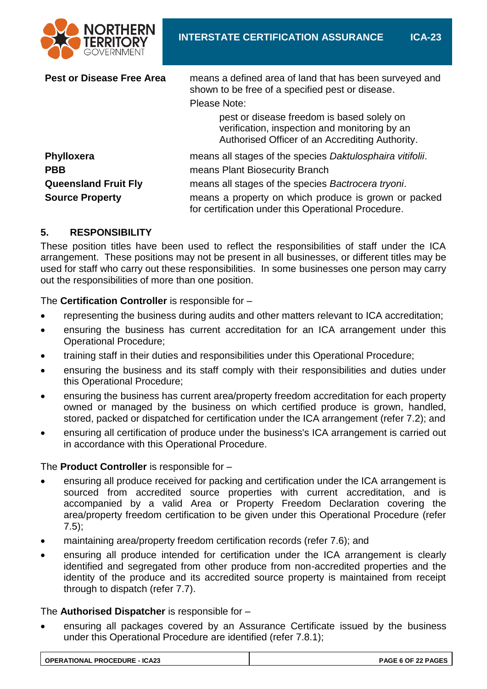

| <b>Pest or Disease Free Area</b> | means a defined area of land that has been surveyed and<br>shown to be free of a specified pest or disease.                                    |
|----------------------------------|------------------------------------------------------------------------------------------------------------------------------------------------|
|                                  | Please Note:                                                                                                                                   |
|                                  | pest or disease freedom is based solely on<br>verification, inspection and monitoring by an<br>Authorised Officer of an Accrediting Authority. |
| <b>Phylloxera</b>                | means all stages of the species Daktulosphaira vitifolii.                                                                                      |
| <b>PBB</b>                       | means Plant Biosecurity Branch                                                                                                                 |
| <b>Queensland Fruit Fly</b>      | means all stages of the species Bactrocera tryoni.                                                                                             |
| <b>Source Property</b>           | means a property on which produce is grown or packed<br>for certification under this Operational Procedure.                                    |

# **5. RESPONSIBILITY**

These position titles have been used to reflect the responsibilities of staff under the ICA arrangement. These positions may not be present in all businesses, or different titles may be used for staff who carry out these responsibilities. In some businesses one person may carry out the responsibilities of more than one position.

The **Certification Controller** is responsible for –

- representing the business during audits and other matters relevant to ICA accreditation;
- ensuring the business has current accreditation for an ICA arrangement under this Operational Procedure;
- training staff in their duties and responsibilities under this Operational Procedure;
- ensuring the business and its staff comply with their responsibilities and duties under this Operational Procedure;
- ensuring the business has current area/property freedom accreditation for each property owned or managed by the business on which certified produce is grown, handled, stored, packed or dispatched for certification under the ICA arrangement (refer 7.2); and
- ensuring all certification of produce under the business's ICA arrangement is carried out in accordance with this Operational Procedure.

#### The **Product Controller** is responsible for –

- ensuring all produce received for packing and certification under the ICA arrangement is sourced from accredited source properties with current accreditation, and is accompanied by a valid Area or Property Freedom Declaration covering the area/property freedom certification to be given under this Operational Procedure (refer 7.5);
- maintaining area/property freedom certification records (refer 7.6); and
- ensuring all produce intended for certification under the ICA arrangement is clearly identified and segregated from other produce from non-accredited properties and the identity of the produce and its accredited source property is maintained from receipt through to dispatch (refer 7.7).

#### The **Authorised Dispatcher** is responsible for –

 ensuring all packages covered by an Assurance Certificate issued by the business under this Operational Procedure are identified (refer 7.8.1);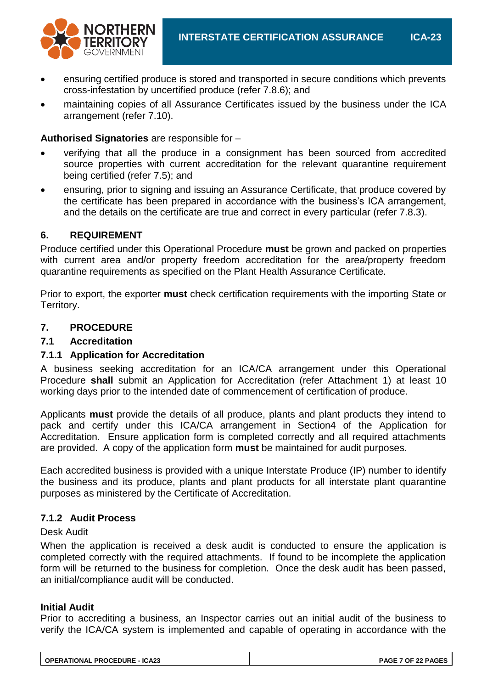

- ensuring certified produce is stored and transported in secure conditions which prevents cross-infestation by uncertified produce (refer 7.8.6); and
- maintaining copies of all Assurance Certificates issued by the business under the ICA arrangement (refer 7.10).

#### **Authorised Signatories** are responsible for –

- verifying that all the produce in a consignment has been sourced from accredited source properties with current accreditation for the relevant quarantine requirement being certified (refer 7.5); and
- ensuring, prior to signing and issuing an Assurance Certificate, that produce covered by the certificate has been prepared in accordance with the business's ICA arrangement, and the details on the certificate are true and correct in every particular (refer 7.8.3).

## **6. REQUIREMENT**

Produce certified under this Operational Procedure **must** be grown and packed on properties with current area and/or property freedom accreditation for the area/property freedom quarantine requirements as specified on the Plant Health Assurance Certificate.

Prior to export, the exporter **must** check certification requirements with the importing State or Territory.

## **7. PROCEDURE**

## **7.1 Accreditation**

#### **7.1.1 Application for Accreditation**

A business seeking accreditation for an ICA/CA arrangement under this Operational Procedure **shall** submit an Application for Accreditation (refer Attachment 1) at least 10 working days prior to the intended date of commencement of certification of produce.

Applicants **must** provide the details of all produce, plants and plant products they intend to pack and certify under this ICA/CA arrangement in Section4 of the Application for Accreditation. Ensure application form is completed correctly and all required attachments are provided. A copy of the application form **must** be maintained for audit purposes.

Each accredited business is provided with a unique Interstate Produce (IP) number to identify the business and its produce, plants and plant products for all interstate plant quarantine purposes as ministered by the Certificate of Accreditation.

#### **7.1.2 Audit Process**

#### Desk Audit

When the application is received a desk audit is conducted to ensure the application is completed correctly with the required attachments. If found to be incomplete the application form will be returned to the business for completion. Once the desk audit has been passed, an initial/compliance audit will be conducted.

#### **Initial Audit**

Prior to accrediting a business, an Inspector carries out an initial audit of the business to verify the ICA/CA system is implemented and capable of operating in accordance with the

| <b>OPERATIONAL PROCEDURE - ICA23</b> | <b>PAGE 7 OF 22 PAGES</b> |
|--------------------------------------|---------------------------|
|--------------------------------------|---------------------------|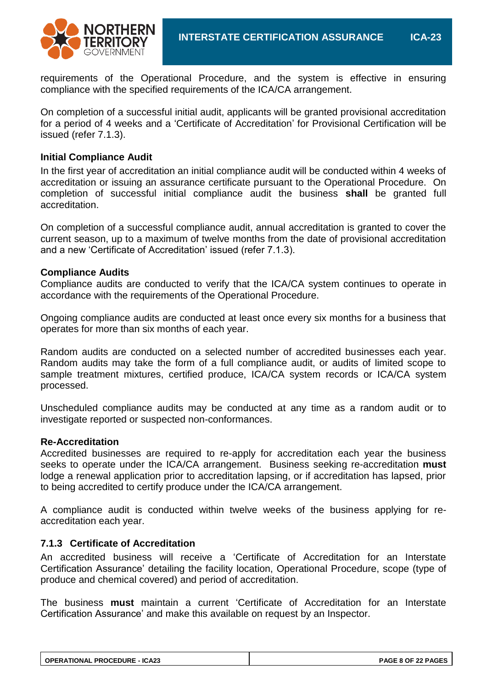

requirements of the Operational Procedure, and the system is effective in ensuring compliance with the specified requirements of the ICA/CA arrangement.

On completion of a successful initial audit, applicants will be granted provisional accreditation for a period of 4 weeks and a 'Certificate of Accreditation' for Provisional Certification will be issued (refer 7.1.3).

#### **Initial Compliance Audit**

In the first year of accreditation an initial compliance audit will be conducted within 4 weeks of accreditation or issuing an assurance certificate pursuant to the Operational Procedure. On completion of successful initial compliance audit the business **shall** be granted full accreditation.

On completion of a successful compliance audit, annual accreditation is granted to cover the current season, up to a maximum of twelve months from the date of provisional accreditation and a new 'Certificate of Accreditation' issued (refer 7.1.3).

#### **Compliance Audits**

Compliance audits are conducted to verify that the ICA/CA system continues to operate in accordance with the requirements of the Operational Procedure.

Ongoing compliance audits are conducted at least once every six months for a business that operates for more than six months of each year.

Random audits are conducted on a selected number of accredited businesses each year. Random audits may take the form of a full compliance audit, or audits of limited scope to sample treatment mixtures, certified produce, ICA/CA system records or ICA/CA system processed.

Unscheduled compliance audits may be conducted at any time as a random audit or to investigate reported or suspected non-conformances.

#### **Re-Accreditation**

Accredited businesses are required to re-apply for accreditation each year the business seeks to operate under the ICA/CA arrangement. Business seeking re-accreditation **must** lodge a renewal application prior to accreditation lapsing, or if accreditation has lapsed, prior to being accredited to certify produce under the ICA/CA arrangement.

A compliance audit is conducted within twelve weeks of the business applying for reaccreditation each year.

#### **7.1.3 Certificate of Accreditation**

An accredited business will receive a 'Certificate of Accreditation for an Interstate Certification Assurance' detailing the facility location, Operational Procedure, scope (type of produce and chemical covered) and period of accreditation.

The business **must** maintain a current 'Certificate of Accreditation for an Interstate Certification Assurance' and make this available on request by an Inspector.

| <b>OPERATIONAL PROCEDURE - ICA23</b> | <b>PAGE 8 OF 22 PAGES</b> |
|--------------------------------------|---------------------------|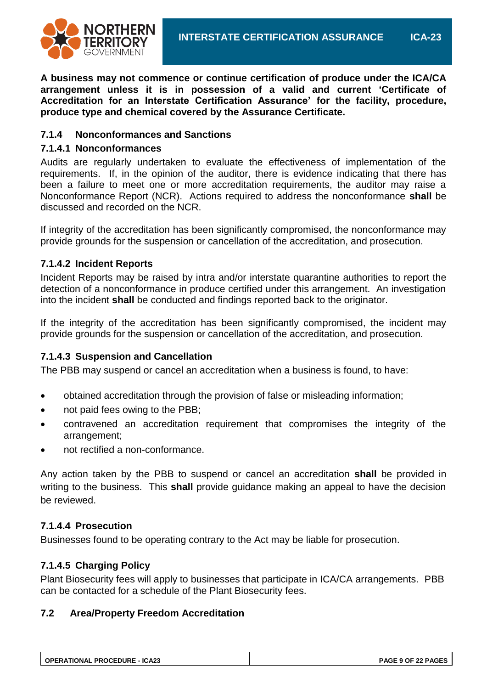

**A business may not commence or continue certification of produce under the ICA/CA arrangement unless it is in possession of a valid and current 'Certificate of Accreditation for an Interstate Certification Assurance' for the facility, procedure, produce type and chemical covered by the Assurance Certificate.**

## **7.1.4 Nonconformances and Sanctions**

#### **7.1.4.1 Nonconformances**

Audits are regularly undertaken to evaluate the effectiveness of implementation of the requirements. If, in the opinion of the auditor, there is evidence indicating that there has been a failure to meet one or more accreditation requirements, the auditor may raise a Nonconformance Report (NCR). Actions required to address the nonconformance **shall** be discussed and recorded on the NCR.

If integrity of the accreditation has been significantly compromised, the nonconformance may provide grounds for the suspension or cancellation of the accreditation, and prosecution.

## **7.1.4.2 Incident Reports**

Incident Reports may be raised by intra and/or interstate quarantine authorities to report the detection of a nonconformance in produce certified under this arrangement. An investigation into the incident **shall** be conducted and findings reported back to the originator.

If the integrity of the accreditation has been significantly compromised, the incident may provide grounds for the suspension or cancellation of the accreditation, and prosecution.

#### **7.1.4.3 Suspension and Cancellation**

The PBB may suspend or cancel an accreditation when a business is found, to have:

- obtained accreditation through the provision of false or misleading information;
- not paid fees owing to the PBB;
- contravened an accreditation requirement that compromises the integrity of the arrangement;
- not rectified a non-conformance.

Any action taken by the PBB to suspend or cancel an accreditation **shall** be provided in writing to the business. This **shall** provide guidance making an appeal to have the decision be reviewed.

#### **7.1.4.4 Prosecution**

Businesses found to be operating contrary to the Act may be liable for prosecution.

#### **7.1.4.5 Charging Policy**

Plant Biosecurity fees will apply to businesses that participate in ICA/CA arrangements. PBB can be contacted for a schedule of the Plant Biosecurity fees.

#### **7.2 Area/Property Freedom Accreditation**

| <b>OPERATIONAL PROCEDURE - ICA23</b> | <b>PAGE 9 OF 22 PAGES</b> |
|--------------------------------------|---------------------------|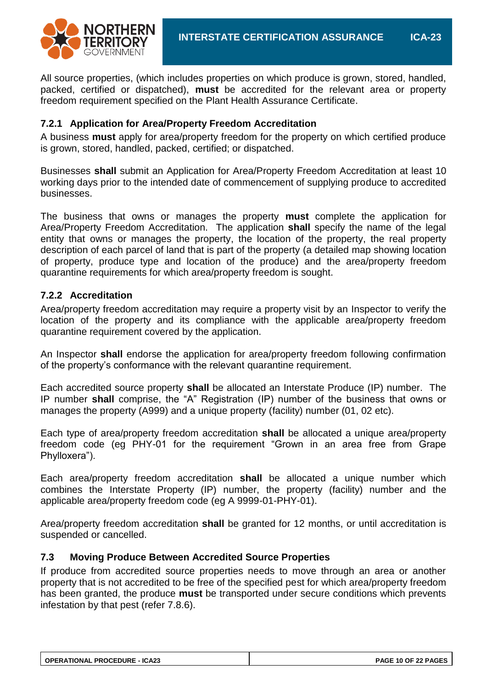

All source properties, (which includes properties on which produce is grown, stored, handled, packed, certified or dispatched), **must** be accredited for the relevant area or property freedom requirement specified on the Plant Health Assurance Certificate.

#### **7.2.1 Application for Area/Property Freedom Accreditation**

A business **must** apply for area/property freedom for the property on which certified produce is grown, stored, handled, packed, certified; or dispatched.

Businesses **shall** submit an Application for Area/Property Freedom Accreditation at least 10 working days prior to the intended date of commencement of supplying produce to accredited businesses.

The business that owns or manages the property **must** complete the application for Area/Property Freedom Accreditation. The application **shall** specify the name of the legal entity that owns or manages the property, the location of the property, the real property description of each parcel of land that is part of the property (a detailed map showing location of property, produce type and location of the produce) and the area/property freedom quarantine requirements for which area/property freedom is sought.

#### **7.2.2 Accreditation**

Area/property freedom accreditation may require a property visit by an Inspector to verify the location of the property and its compliance with the applicable area/property freedom quarantine requirement covered by the application.

An Inspector **shall** endorse the application for area/property freedom following confirmation of the property's conformance with the relevant quarantine requirement.

Each accredited source property **shall** be allocated an Interstate Produce (IP) number. The IP number **shall** comprise, the "A" Registration (IP) number of the business that owns or manages the property (A999) and a unique property (facility) number (01, 02 etc).

Each type of area/property freedom accreditation **shall** be allocated a unique area/property freedom code (eg PHY-01 for the requirement "Grown in an area free from Grape Phylloxera").

Each area/property freedom accreditation **shall** be allocated a unique number which combines the Interstate Property (IP) number, the property (facility) number and the applicable area/property freedom code (eg A 9999-01-PHY-01).

Area/property freedom accreditation **shall** be granted for 12 months, or until accreditation is suspended or cancelled.

#### **7.3 Moving Produce Between Accredited Source Properties**

If produce from accredited source properties needs to move through an area or another property that is not accredited to be free of the specified pest for which area/property freedom has been granted, the produce **must** be transported under secure conditions which prevents infestation by that pest (refer 7.8.6).

| <b>OPERATIONAL PROCEDURE - ICA23</b> |  |
|--------------------------------------|--|
|                                      |  |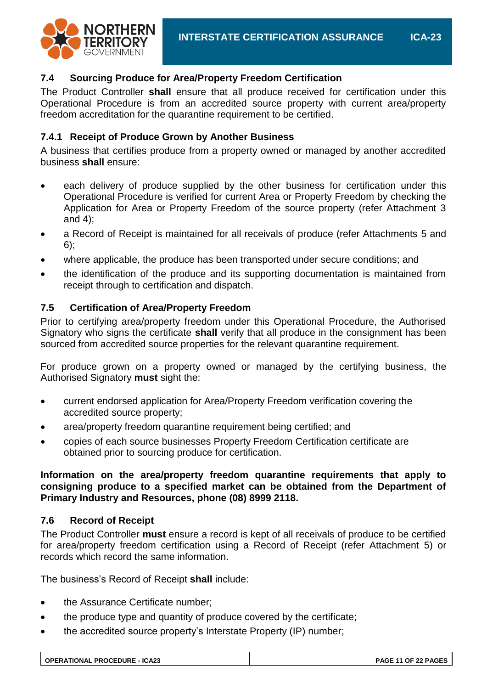

# **7.4 Sourcing Produce for Area/Property Freedom Certification**

The Product Controller **shall** ensure that all produce received for certification under this Operational Procedure is from an accredited source property with current area/property freedom accreditation for the quarantine requirement to be certified.

# **7.4.1 Receipt of Produce Grown by Another Business**

A business that certifies produce from a property owned or managed by another accredited business **shall** ensure:

- each delivery of produce supplied by the other business for certification under this Operational Procedure is verified for current Area or Property Freedom by checking the Application for Area or Property Freedom of the source property (refer Attachment 3 and 4);
- a Record of Receipt is maintained for all receivals of produce (refer Attachments 5 and 6);
- where applicable, the produce has been transported under secure conditions; and
- the identification of the produce and its supporting documentation is maintained from receipt through to certification and dispatch.

# **7.5 Certification of Area/Property Freedom**

Prior to certifying area/property freedom under this Operational Procedure, the Authorised Signatory who signs the certificate **shall** verify that all produce in the consignment has been sourced from accredited source properties for the relevant quarantine requirement.

For produce grown on a property owned or managed by the certifying business, the Authorised Signatory **must** sight the:

- current endorsed application for Area/Property Freedom verification covering the accredited source property;
- area/property freedom quarantine requirement being certified; and
- copies of each source businesses Property Freedom Certification certificate are obtained prior to sourcing produce for certification.

## **Information on the area/property freedom quarantine requirements that apply to consigning produce to a specified market can be obtained from the Department of Primary Industry and Resources, phone (08) 8999 2118.**

# **7.6 Record of Receipt**

The Product Controller **must** ensure a record is kept of all receivals of produce to be certified for area/property freedom certification using a Record of Receipt (refer Attachment 5) or records which record the same information.

The business's Record of Receipt **shall** include:

- the Assurance Certificate number;
- the produce type and quantity of produce covered by the certificate;
- the accredited source property's Interstate Property (IP) number;

| <b>OPERATIONAL PROCEDURE - ICA23</b> | PAGE 11 OF 22 PAGES |
|--------------------------------------|---------------------|
|--------------------------------------|---------------------|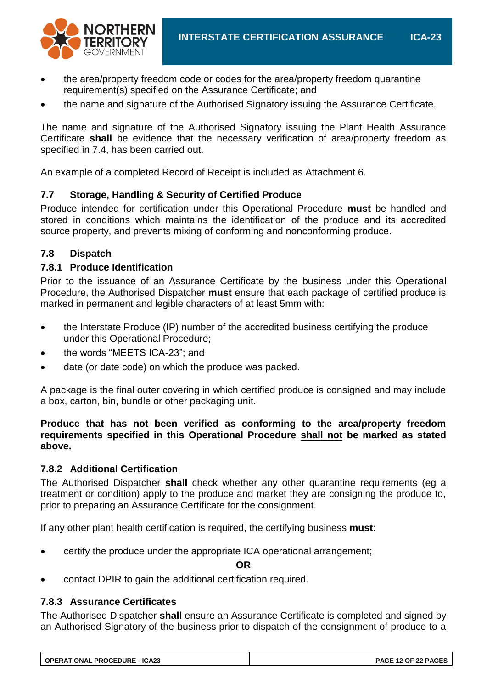

- the area/property freedom code or codes for the area/property freedom quarantine requirement(s) specified on the Assurance Certificate; and
- the name and signature of the Authorised Signatory issuing the Assurance Certificate.

The name and signature of the Authorised Signatory issuing the Plant Health Assurance Certificate **shall** be evidence that the necessary verification of area/property freedom as specified in 7.4, has been carried out.

An example of a completed Record of Receipt is included as Attachment 6.

## **7.7 Storage, Handling & Security of Certified Produce**

Produce intended for certification under this Operational Procedure **must** be handled and stored in conditions which maintains the identification of the produce and its accredited source property, and prevents mixing of conforming and nonconforming produce.

## **7.8 Dispatch**

#### **7.8.1 Produce Identification**

Prior to the issuance of an Assurance Certificate by the business under this Operational Procedure, the Authorised Dispatcher **must** ensure that each package of certified produce is marked in permanent and legible characters of at least 5mm with:

- the Interstate Produce (IP) number of the accredited business certifying the produce under this Operational Procedure;
- the words "MEETS ICA-23"; and
- date (or date code) on which the produce was packed.

A package is the final outer covering in which certified produce is consigned and may include a box, carton, bin, bundle or other packaging unit.

**Produce that has not been verified as conforming to the area/property freedom requirements specified in this Operational Procedure shall not be marked as stated above.**

#### **7.8.2 Additional Certification**

The Authorised Dispatcher **shall** check whether any other quarantine requirements (eg a treatment or condition) apply to the produce and market they are consigning the produce to, prior to preparing an Assurance Certificate for the consignment.

If any other plant health certification is required, the certifying business **must**:

certify the produce under the appropriate ICA operational arrangement;

**OR**

contact DPIR to gain the additional certification required.

#### **7.8.3 Assurance Certificates**

The Authorised Dispatcher **shall** ensure an Assurance Certificate is completed and signed by an Authorised Signatory of the business prior to dispatch of the consignment of produce to a

| <b>OPERATIONAL PROCEDURE - ICA23</b> | PAGE 12 OF 22 PAGES |
|--------------------------------------|---------------------|
|--------------------------------------|---------------------|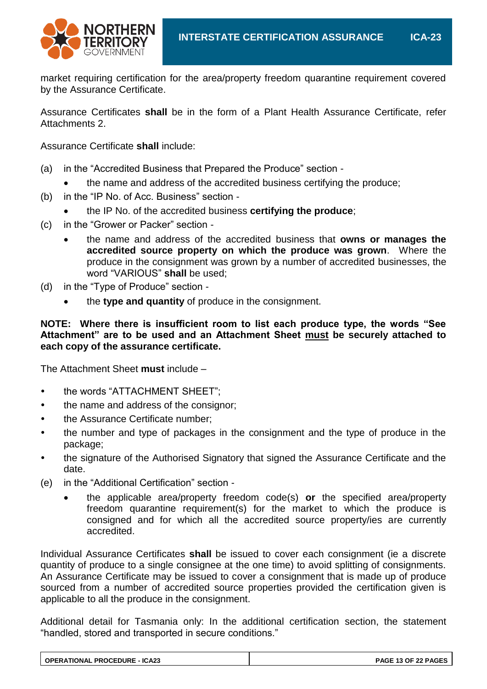

market requiring certification for the area/property freedom quarantine requirement covered by the Assurance Certificate.

Assurance Certificates **shall** be in the form of a Plant Health Assurance Certificate, refer Attachments 2.

Assurance Certificate **shall** include:

- (a) in the "Accredited Business that Prepared the Produce" section
	- the name and address of the accredited business certifying the produce;
- (b) in the "IP No. of Acc. Business" section
	- the IP No. of the accredited business **certifying the produce**;
- (c) in the "Grower or Packer" section
	- the name and address of the accredited business that **owns or manages the accredited source property on which the produce was grown**. Where the produce in the consignment was grown by a number of accredited businesses, the word "VARIOUS" **shall** be used;
- (d) in the "Type of Produce" section
	- the **type and quantity** of produce in the consignment.

#### **NOTE: Where there is insufficient room to list each produce type, the words "See Attachment" are to be used and an Attachment Sheet must be securely attached to each copy of the assurance certificate.**

The Attachment Sheet **must** include –

- the words "ATTACHMENT SHEET";
- the name and address of the consignor;
- the Assurance Certificate number;
- the number and type of packages in the consignment and the type of produce in the package;
- the signature of the Authorised Signatory that signed the Assurance Certificate and the date.
- (e) in the "Additional Certification" section
	- the applicable area/property freedom code(s) **or** the specified area/property freedom quarantine requirement(s) for the market to which the produce is consigned and for which all the accredited source property/ies are currently accredited.

Individual Assurance Certificates **shall** be issued to cover each consignment (ie a discrete quantity of produce to a single consignee at the one time) to avoid splitting of consignments. An Assurance Certificate may be issued to cover a consignment that is made up of produce sourced from a number of accredited source properties provided the certification given is applicable to all the produce in the consignment.

Additional detail for Tasmania only: In the additional certification section, the statement "handled, stored and transported in secure conditions."

| <b>OPERATIONAL PROCEDURE - ICA23</b> | PAGE 13 OF 22 PAGES |
|--------------------------------------|---------------------|
|--------------------------------------|---------------------|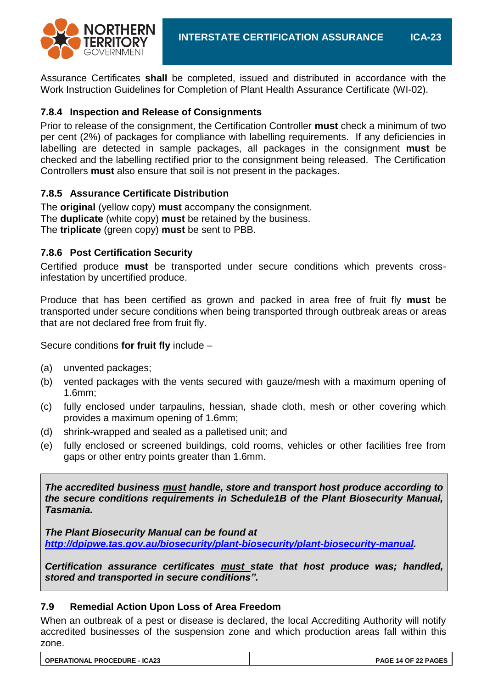

Assurance Certificates **shall** be completed, issued and distributed in accordance with the Work Instruction Guidelines for Completion of Plant Health Assurance Certificate (WI-02).

## **7.8.4 Inspection and Release of Consignments**

Prior to release of the consignment, the Certification Controller **must** check a minimum of two per cent (2%) of packages for compliance with labelling requirements. If any deficiencies in labelling are detected in sample packages, all packages in the consignment **must** be checked and the labelling rectified prior to the consignment being released. The Certification Controllers **must** also ensure that soil is not present in the packages.

#### **7.8.5 Assurance Certificate Distribution**

The **original** (yellow copy) **must** accompany the consignment. The **duplicate** (white copy) **must** be retained by the business. The **triplicate** (green copy) **must** be sent to PBB.

## **7.8.6 Post Certification Security**

Certified produce **must** be transported under secure conditions which prevents crossinfestation by uncertified produce.

Produce that has been certified as grown and packed in area free of fruit fly **must** be transported under secure conditions when being transported through outbreak areas or areas that are not declared free from fruit fly.

Secure conditions **for fruit fly** include –

- (a) unvented packages;
- (b) vented packages with the vents secured with gauze/mesh with a maximum opening of 1.6mm;
- (c) fully enclosed under tarpaulins, hessian, shade cloth, mesh or other covering which provides a maximum opening of 1.6mm;
- (d) shrink-wrapped and sealed as a palletised unit; and
- (e) fully enclosed or screened buildings, cold rooms, vehicles or other facilities free from gaps or other entry points greater than 1.6mm.

*The accredited business must handle, store and transport host produce according to the secure conditions requirements in Schedule1B of the Plant Biosecurity Manual, Tasmania.*

*The Plant Biosecurity Manual can be found at [http://dpipwe.tas.gov.au/biosecurity/plant-biosecurity/plant-biosecurity-manual.](http://dpipwe.tas.gov.au/biosecurity/plant-biosecurity/plant-biosecurity-manual)*

*Certification assurance certificates must state that host produce was; handled, stored and transported in secure conditions".*

#### **7.9 Remedial Action Upon Loss of Area Freedom**

When an outbreak of a pest or disease is declared, the local Accrediting Authority will notify accredited businesses of the suspension zone and which production areas fall within this zone.

| <b>OPERATIONAL PROCEDURE - ICA23</b> | <b>PAGE 14 OF 22 PAGES</b> |
|--------------------------------------|----------------------------|
|                                      |                            |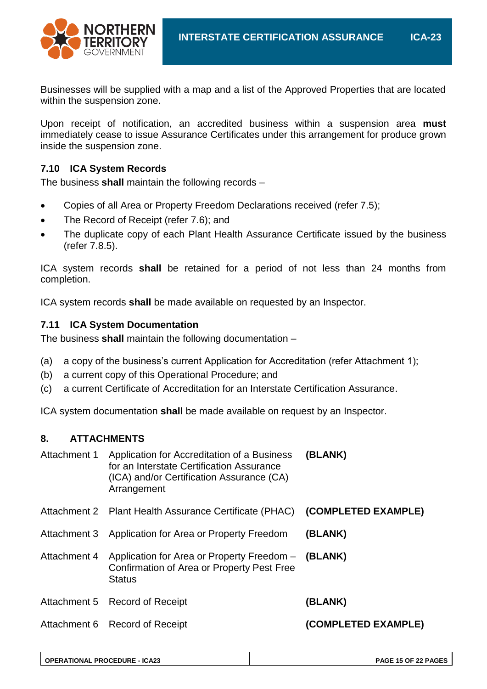

Businesses will be supplied with a map and a list of the Approved Properties that are located within the suspension zone.

Upon receipt of notification, an accredited business within a suspension area **must** immediately cease to issue Assurance Certificates under this arrangement for produce grown inside the suspension zone.

## **7.10 ICA System Records**

The business **shall** maintain the following records –

- Copies of all Area or Property Freedom Declarations received (refer 7.5);
- The Record of Receipt (refer 7.6); and
- The duplicate copy of each Plant Health Assurance Certificate issued by the business (refer 7.8.5).

ICA system records **shall** be retained for a period of not less than 24 months from completion.

ICA system records **shall** be made available on requested by an Inspector.

#### **7.11 ICA System Documentation**

The business **shall** maintain the following documentation –

- (a) a copy of the business's current Application for Accreditation (refer Attachment 1);
- (b) a current copy of this Operational Procedure; and
- (c) a current Certificate of Accreditation for an Interstate Certification Assurance.

ICA system documentation **shall** be made available on request by an Inspector.

#### **8. ATTACHMENTS**

| Attachment 1 | Application for Accreditation of a Business<br>for an Interstate Certification Assurance<br>(ICA) and/or Certification Assurance (CA)<br>Arrangement | (BLANK)             |
|--------------|------------------------------------------------------------------------------------------------------------------------------------------------------|---------------------|
|              | Attachment 2 Plant Health Assurance Certificate (PHAC) (COMPLETED EXAMPLE)                                                                           |                     |
| Attachment 3 | Application for Area or Property Freedom                                                                                                             | (BLANK)             |
| Attachment 4 | Application for Area or Property Freedom - (BLANK)<br>Confirmation of Area or Property Pest Free<br><b>Status</b>                                    |                     |
|              | Attachment 5 Record of Receipt                                                                                                                       | (BLANK)             |
|              | Attachment 6 Record of Receipt                                                                                                                       | (COMPLETED EXAMPLE) |

| OPERATIONAL PROCEDURE - ICA23 | PAGE 15 OF 22 PAGES |
|-------------------------------|---------------------|
|-------------------------------|---------------------|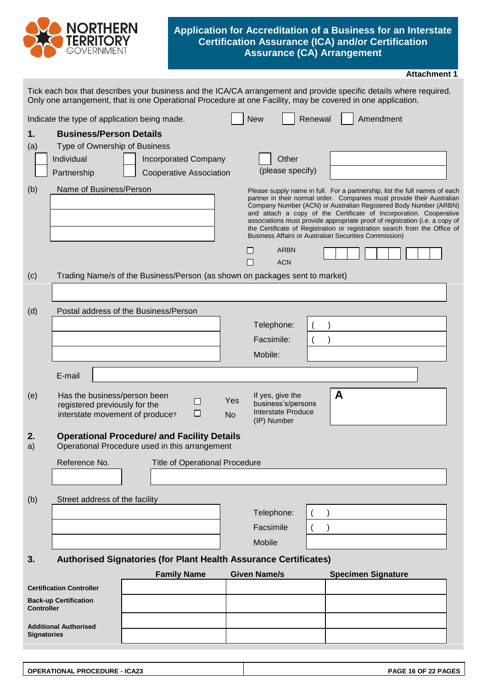

#### **Application for Accreditation of a Business for an Interstate Certification Assurance (ICA) and/or Certification Assurance (CA) Arrangement**

| <b>Attachment 1</b> |  |
|---------------------|--|
|---------------------|--|

|                    | Only one arrangement, that is one Operational Procedure at one Facility, may be covered in one application. |  |                    |                                                               |                  |                     |                                                                     |         |   |                                                       | Tick each box that describes your business and the ICA/CA arrangement and provide specific details where required.                                                                                                                                                                                                                                                                                                                                         |
|--------------------|-------------------------------------------------------------------------------------------------------------|--|--------------------|---------------------------------------------------------------|------------------|---------------------|---------------------------------------------------------------------|---------|---|-------------------------------------------------------|------------------------------------------------------------------------------------------------------------------------------------------------------------------------------------------------------------------------------------------------------------------------------------------------------------------------------------------------------------------------------------------------------------------------------------------------------------|
|                    | Indicate the type of application being made.                                                                |  |                    |                                                               |                  | <b>New</b>          |                                                                     | Renewal |   | Amendment                                             |                                                                                                                                                                                                                                                                                                                                                                                                                                                            |
| 1.<br>(a)          | <b>Business/Person Details</b><br>Type of Ownership of Business<br>Individual<br>Partnership                |  |                    | <b>Incorporated Company</b><br><b>Cooperative Association</b> |                  |                     | Other<br>(please specify)                                           |         |   |                                                       |                                                                                                                                                                                                                                                                                                                                                                                                                                                            |
| (b)                | Name of Business/Person                                                                                     |  |                    |                                                               |                  |                     | <b>ARBN</b>                                                         |         |   | Business Affairs or Australian Securities Commission) | Please supply name in full. For a partnership, list the full names of each<br>partner in their normal order. Companies must provide their Australian<br>Company Number (ACN) or Australian Registered Body Number (ARBN)<br>and attach a copy of the Certificate of Incorporation. Cooperative<br>associations must provide appropriate proof of registration (i.e. a copy of<br>the Certificate of Registration or registration search from the Office of |
|                    |                                                                                                             |  |                    |                                                               |                  | $\Box$              | <b>ACN</b>                                                          |         |   |                                                       |                                                                                                                                                                                                                                                                                                                                                                                                                                                            |
| (c)                | Trading Name/s of the Business/Person (as shown on packages sent to market)                                 |  |                    |                                                               |                  |                     |                                                                     |         |   |                                                       |                                                                                                                                                                                                                                                                                                                                                                                                                                                            |
|                    |                                                                                                             |  |                    |                                                               |                  |                     |                                                                     |         |   |                                                       |                                                                                                                                                                                                                                                                                                                                                                                                                                                            |
| (d)                | Postal address of the Business/Person                                                                       |  |                    |                                                               |                  |                     |                                                                     |         |   |                                                       |                                                                                                                                                                                                                                                                                                                                                                                                                                                            |
|                    |                                                                                                             |  |                    |                                                               |                  | Telephone:          |                                                                     |         |   |                                                       |                                                                                                                                                                                                                                                                                                                                                                                                                                                            |
|                    |                                                                                                             |  |                    |                                                               |                  | Facsimile:          |                                                                     |         |   |                                                       |                                                                                                                                                                                                                                                                                                                                                                                                                                                            |
|                    |                                                                                                             |  |                    |                                                               |                  | Mobile:             |                                                                     |         |   |                                                       |                                                                                                                                                                                                                                                                                                                                                                                                                                                            |
|                    | E-mail                                                                                                      |  |                    |                                                               |                  |                     |                                                                     |         |   |                                                       |                                                                                                                                                                                                                                                                                                                                                                                                                                                            |
| (e)                | Has the business/person been<br>registered previously for the<br>interstate movement of produce?            |  |                    | ◻<br>□                                                        | Yes<br><b>No</b> | (IP) Number         | If yes, give the<br>business's/persons<br><b>Interstate Produce</b> |         | A |                                                       |                                                                                                                                                                                                                                                                                                                                                                                                                                                            |
| 2.<br>a)           | <b>Operational Procedure/ and Facility Details</b><br>Operational Procedure used in this arrangement        |  |                    |                                                               |                  |                     |                                                                     |         |   |                                                       |                                                                                                                                                                                                                                                                                                                                                                                                                                                            |
|                    | Reference No.                                                                                               |  |                    | <b>Title of Operational Procedure</b>                         |                  |                     |                                                                     |         |   |                                                       |                                                                                                                                                                                                                                                                                                                                                                                                                                                            |
|                    |                                                                                                             |  |                    |                                                               |                  |                     |                                                                     |         |   |                                                       |                                                                                                                                                                                                                                                                                                                                                                                                                                                            |
| (b)                | Street address of the facility                                                                              |  |                    |                                                               |                  |                     |                                                                     |         |   |                                                       |                                                                                                                                                                                                                                                                                                                                                                                                                                                            |
|                    |                                                                                                             |  |                    |                                                               |                  | Telephone:          |                                                                     |         |   |                                                       |                                                                                                                                                                                                                                                                                                                                                                                                                                                            |
|                    |                                                                                                             |  |                    |                                                               |                  | Facsimile           |                                                                     |         |   |                                                       |                                                                                                                                                                                                                                                                                                                                                                                                                                                            |
|                    |                                                                                                             |  |                    |                                                               |                  | Mobile              |                                                                     |         |   |                                                       |                                                                                                                                                                                                                                                                                                                                                                                                                                                            |
| 3.                 | <b>Authorised Signatories (for Plant Health Assurance Certificates)</b>                                     |  |                    |                                                               |                  |                     |                                                                     |         |   |                                                       |                                                                                                                                                                                                                                                                                                                                                                                                                                                            |
|                    |                                                                                                             |  | <b>Family Name</b> |                                                               |                  | <b>Given Name/s</b> |                                                                     |         |   | <b>Specimen Signature</b>                             |                                                                                                                                                                                                                                                                                                                                                                                                                                                            |
|                    | <b>Certification Controller</b>                                                                             |  |                    |                                                               |                  |                     |                                                                     |         |   |                                                       |                                                                                                                                                                                                                                                                                                                                                                                                                                                            |
| <b>Controller</b>  | <b>Back-up Certification</b>                                                                                |  |                    |                                                               |                  |                     |                                                                     |         |   |                                                       |                                                                                                                                                                                                                                                                                                                                                                                                                                                            |
| <b>Signatories</b> | <b>Additional Authorised</b>                                                                                |  |                    |                                                               |                  |                     |                                                                     |         |   |                                                       |                                                                                                                                                                                                                                                                                                                                                                                                                                                            |
|                    |                                                                                                             |  |                    |                                                               |                  |                     |                                                                     |         |   |                                                       |                                                                                                                                                                                                                                                                                                                                                                                                                                                            |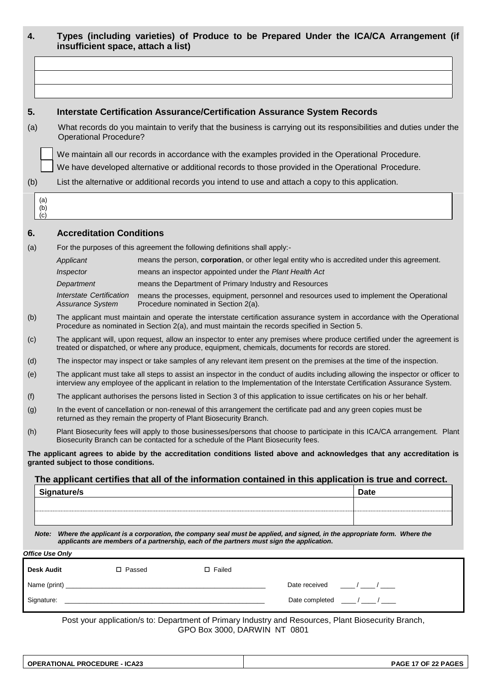|                   | insufficient space, attach a list)                  |                                                                                          |                                                                                                                          |                                                                                                                                                                                                                                                                 |
|-------------------|-----------------------------------------------------|------------------------------------------------------------------------------------------|--------------------------------------------------------------------------------------------------------------------------|-----------------------------------------------------------------------------------------------------------------------------------------------------------------------------------------------------------------------------------------------------------------|
|                   |                                                     |                                                                                          |                                                                                                                          |                                                                                                                                                                                                                                                                 |
|                   |                                                     |                                                                                          |                                                                                                                          |                                                                                                                                                                                                                                                                 |
|                   |                                                     |                                                                                          | <b>Interstate Certification Assurance/Certification Assurance System Records</b>                                         |                                                                                                                                                                                                                                                                 |
| (a)               | <b>Operational Procedure?</b>                       |                                                                                          |                                                                                                                          | What records do you maintain to verify that the business is carrying out its responsibilities and duties under the                                                                                                                                              |
|                   |                                                     |                                                                                          | We maintain all our records in accordance with the examples provided in the Operational Procedure.                       |                                                                                                                                                                                                                                                                 |
|                   |                                                     |                                                                                          | We have developed alternative or additional records to those provided in the Operational Procedure.                      |                                                                                                                                                                                                                                                                 |
| (b)               |                                                     |                                                                                          | List the alternative or additional records you intend to use and attach a copy to this application.                      |                                                                                                                                                                                                                                                                 |
| (a)<br>(b)<br>(c) |                                                     |                                                                                          |                                                                                                                          |                                                                                                                                                                                                                                                                 |
|                   | <b>Accreditation Conditions</b>                     |                                                                                          |                                                                                                                          |                                                                                                                                                                                                                                                                 |
| (a)               |                                                     | For the purposes of this agreement the following definitions shall apply:-               |                                                                                                                          |                                                                                                                                                                                                                                                                 |
|                   | Applicant                                           |                                                                                          |                                                                                                                          | means the person, corporation, or other legal entity who is accredited under this agreement.                                                                                                                                                                    |
|                   | Inspector                                           | means an inspector appointed under the Plant Health Act                                  |                                                                                                                          |                                                                                                                                                                                                                                                                 |
|                   | Department                                          | means the Department of Primary Industry and Resources                                   |                                                                                                                          |                                                                                                                                                                                                                                                                 |
|                   | Interstate Certification<br><b>Assurance System</b> | Procedure nominated in Section 2(a).                                                     |                                                                                                                          | means the processes, equipment, personnel and resources used to implement the Operational                                                                                                                                                                       |
| (b)               |                                                     |                                                                                          | Procedure as nominated in Section 2(a), and must maintain the records specified in Section 5.                            | The applicant must maintain and operate the interstate certification assurance system in accordance with the Operational                                                                                                                                        |
| (c)               |                                                     |                                                                                          | treated or dispatched, or where any produce, equipment, chemicals, documents for records are stored.                     | The applicant will, upon request, allow an inspector to enter any premises where produce certified under the agreement is                                                                                                                                       |
| (d)               |                                                     |                                                                                          |                                                                                                                          | The inspector may inspect or take samples of any relevant item present on the premises at the time of the inspection.                                                                                                                                           |
| (e)               |                                                     |                                                                                          |                                                                                                                          | The applicant must take all steps to assist an inspector in the conduct of audits including allowing the inspector or officer to<br>interview any employee of the applicant in relation to the Implementation of the Interstate Certification Assurance System. |
| (f)               |                                                     |                                                                                          | The applicant authorises the persons listed in Section 3 of this application to issue certificates on his or her behalf. |                                                                                                                                                                                                                                                                 |
| (g)               |                                                     | returned as they remain the property of Plant Biosecurity Branch.                        | In the event of cancellation or non-renewal of this arrangement the certificate pad and any green copies must be         |                                                                                                                                                                                                                                                                 |
| (h)               |                                                     | Biosecurity Branch can be contacted for a schedule of the Plant Biosecurity fees.        |                                                                                                                          | Plant Biosecurity fees will apply to those businesses/persons that choose to participate in this ICA/CA arrangement. Plant                                                                                                                                      |
|                   | granted subject to those conditions.                |                                                                                          |                                                                                                                          | The applicant agrees to abide by the accreditation conditions listed above and acknowledges that any accreditation is                                                                                                                                           |
|                   |                                                     |                                                                                          |                                                                                                                          | The applicant certifies that all of the information contained in this application is true and correct.                                                                                                                                                          |
|                   | Signature/s                                         |                                                                                          |                                                                                                                          | <b>Date</b>                                                                                                                                                                                                                                                     |
|                   |                                                     |                                                                                          |                                                                                                                          |                                                                                                                                                                                                                                                                 |
|                   |                                                     |                                                                                          |                                                                                                                          |                                                                                                                                                                                                                                                                 |
|                   |                                                     | applicants are members of a partnership, each of the partners must sign the application. |                                                                                                                          | Note: Where the applicant is a corporation, the company seal must be applied, and signed, in the appropriate form. Where the                                                                                                                                    |
|                   | <b>Office Use Only</b>                              |                                                                                          |                                                                                                                          |                                                                                                                                                                                                                                                                 |
|                   | Desk Audit<br>□ Passed                              | $\Box$ Failed                                                                            |                                                                                                                          |                                                                                                                                                                                                                                                                 |
|                   |                                                     |                                                                                          | Date received                                                                                                            | $\frac{1}{\sqrt{2}}$                                                                                                                                                                                                                                            |
|                   |                                                     |                                                                                          |                                                                                                                          | Date completed $\frac{1}{2}$ / $\frac{1}{2}$ / $\frac{1}{2}$                                                                                                                                                                                                    |

Post your application/s to: Department of Primary Industry and Resources, Plant Biosecurity Branch, GPO Box 3000, DARWIN NT 0801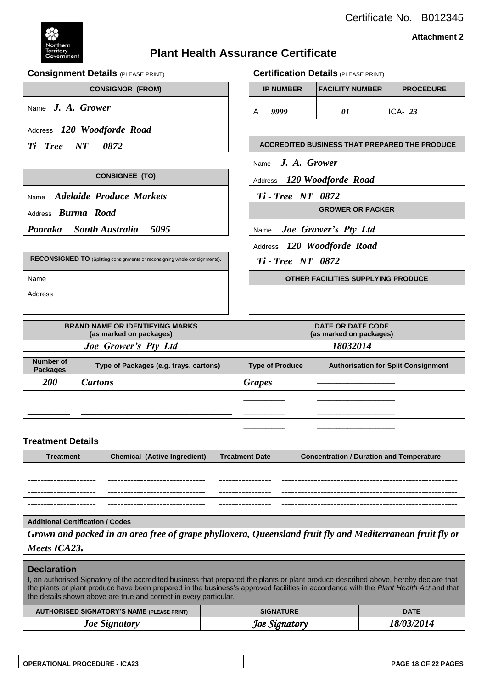



**Attachment 2**

# **Plant Health Assurance Certificate**

#### **Consignment Details** (PLEASE PRINT) **Certification Details** (PLEASE PRINT)

| <b>CONSIGNOR (FROM)</b>                                                     |  |                                 | <b>IP NUMBER</b>                   | <b>FACILITY NUMBER</b>     | <b>PROCEDURE</b>                                     |  |
|-----------------------------------------------------------------------------|--|---------------------------------|------------------------------------|----------------------------|------------------------------------------------------|--|
| Name $J. A. Grower$                                                         |  | A                               | 9999                               | 01                         | ICA- $23$                                            |  |
| Address 120 Woodforde Road                                                  |  |                                 |                                    |                            |                                                      |  |
| <b>Ti-Tree</b> NT 0872                                                      |  |                                 |                                    |                            | <b>ACCREDITED BUSINESS THAT PREPARED THE PRODUCE</b> |  |
|                                                                             |  |                                 | Name $J. A. Grower$                |                            |                                                      |  |
| <b>CONSIGNEE (TO)</b>                                                       |  | Address 120 Woodforde Road      |                                    |                            |                                                      |  |
| Name Adelaide Produce Markets                                               |  | <b>Ti</b> - <b>Tree</b> NT 0872 |                                    |                            |                                                      |  |
| Address <b>Burma Road</b>                                                   |  |                                 |                                    | <b>GROWER OR PACKER</b>    |                                                      |  |
| Pooraka South Australia 5095                                                |  |                                 | Name Joe Grower's Pty Ltd          |                            |                                                      |  |
|                                                                             |  |                                 |                                    | Address 120 Woodforde Road |                                                      |  |
| RECONSIGNED TO (Splitting consignments or reconsigning whole consignments). |  | <b>Ti</b> - <b>Tree</b> NT 0872 |                                    |                            |                                                      |  |
| Name                                                                        |  |                                 | OTHER FACILITIES SUPPLYING PRODUCE |                            |                                                      |  |
| Address                                                                     |  |                                 |                                    |                            |                                                      |  |

| <b>BRAND NAME OR IDENTIFYING MARKS</b><br>(as marked on packages) | <b>DATE OR DATE CODE</b><br>(as marked on packages) |
|-------------------------------------------------------------------|-----------------------------------------------------|
| Joe Grower's Pty Ltd                                              | 18032014                                            |

| <b>Number of</b><br><b>Packages</b> | Type of Packages (e.g. trays, cartons) | <b>Type of Produce</b> | <b>Authorisation for Split Consignment</b> |
|-------------------------------------|----------------------------------------|------------------------|--------------------------------------------|
| <b>200</b>                          | <b>Cartons</b>                         | <b>Grapes</b>          |                                            |
|                                     |                                        |                        |                                            |
|                                     |                                        |                        |                                            |
|                                     |                                        |                        |                                            |

#### **Treatment Details**

| <b>Treatment</b>       | <b>Chemical (Active Ingredient)</b> | <b>Treatment Date</b> | <b>Concentration / Duration and Temperature</b> |
|------------------------|-------------------------------------|-----------------------|-------------------------------------------------|
| ---------------------- | -------------------------------     | ---------------       |                                                 |
| ---------------------  | ---------------------------         | ----------------      |                                                 |
| ---------------------- | -------------------------------     | ----------------      |                                                 |
| ---------------------- | -------------------------------     | ----------------      |                                                 |

#### **Additional Certification / Codes**

*Grown and packed in an area free of grape phylloxera, Queensland fruit fly and Mediterranean fruit fly or Meets ICA23.*

#### **Declaration**

I, an authorised Signatory of the accredited business that prepared the plants or plant produce described above, hereby declare that the plants or plant produce have been prepared in the business's approved facilities in accordance with the *Plant Health Act* and that the details shown above are true and correct in every particular.

| <b>AUTHORISED SIGNATORY'S NAME (PLEASE PRINT)</b> | <b>SIGNATURE</b> | <b>DATE</b> |
|---------------------------------------------------|------------------|-------------|
| <b>Joe Signatory</b>                              | Joe Signatory    | 18/03/2014  |

| <b>OPERATIONAL PROCEDURE - ICA23</b> |  |
|--------------------------------------|--|
|                                      |  |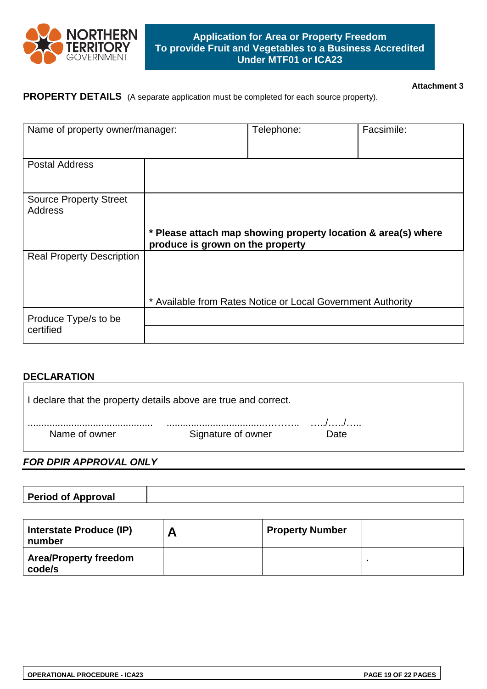

#### **Attachment 3**

# **PROPERTY DETAILS** (A separate application must be completed for each source property).

| Name of property owner/manager:                 |                                  | Telephone:                                                    | Facsimile: |  |  |  |
|-------------------------------------------------|----------------------------------|---------------------------------------------------------------|------------|--|--|--|
| <b>Postal Address</b>                           |                                  |                                                               |            |  |  |  |
| <b>Source Property Street</b><br><b>Address</b> |                                  |                                                               |            |  |  |  |
|                                                 | produce is grown on the property | * Please attach map showing property location & area(s) where |            |  |  |  |
| <b>Real Property Description</b>                |                                  |                                                               |            |  |  |  |
|                                                 |                                  | * Available from Rates Notice or Local Government Authority   |            |  |  |  |
|                                                 |                                  |                                                               |            |  |  |  |

#### **DECLARATION**

| I declare that the property details above are true and correct. |                    |      |  |
|-----------------------------------------------------------------|--------------------|------|--|
| Name of owner                                                   | Signature of owner | Date |  |

#### *FOR DPIR APPROVAL ONLY*

| <b>Period of Approval</b> |  |
|---------------------------|--|

| Interstate Produce (IP)<br>number      | <b>Property Number</b> |  |
|----------------------------------------|------------------------|--|
| <b>Area/Property freedom</b><br>code/s |                        |  |

| <b>OPERATIONAL PROCEDURE - ICA23</b> | PAGE 19 OF 22 PAGES |
|--------------------------------------|---------------------|
|--------------------------------------|---------------------|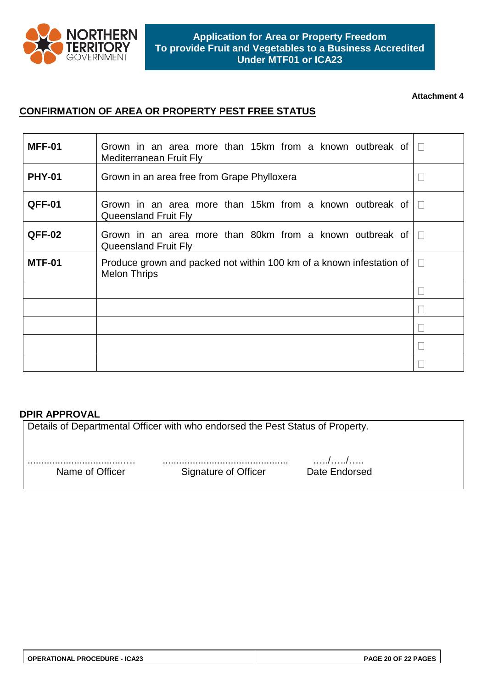

#### **Attachment 4**

# **CONFIRMATION OF AREA OR PROPERTY PEST FREE STATUS**

| <b>MFF-01</b> | Grown in an area more than 15km from a known outbreak of<br>Mediterranean Fruit Fly         |  |
|---------------|---------------------------------------------------------------------------------------------|--|
| <b>PHY-01</b> | Grown in an area free from Grape Phylloxera                                                 |  |
| QFF-01        | Grown in an area more than 15km from a known outbreak of<br><b>Queensland Fruit Fly</b>     |  |
| QFF-02        | Grown in an area more than 80km from a known outbreak of<br><b>Queensland Fruit Fly</b>     |  |
| <b>MTF-01</b> | Produce grown and packed not within 100 km of a known infestation of<br><b>Melon Thrips</b> |  |
|               |                                                                                             |  |
|               |                                                                                             |  |
|               |                                                                                             |  |
|               |                                                                                             |  |
|               |                                                                                             |  |

#### **DPIR APPROVAL**

Details of Departmental Officer with who endorsed the Pest Status of Property. ...................................…. .............................................. …../…../….. Signature of Officer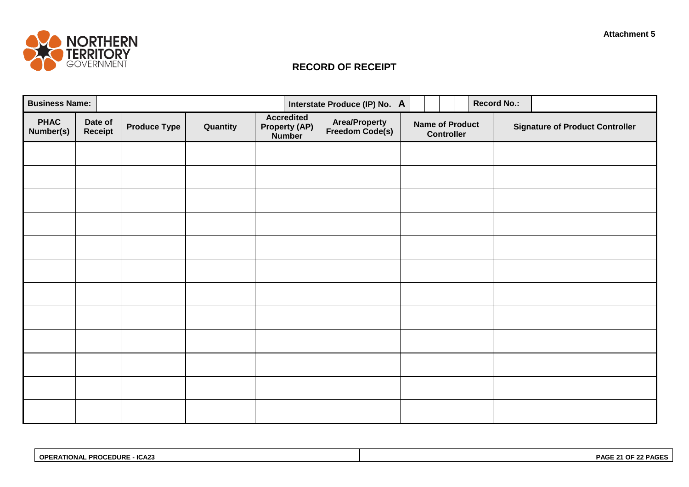

# **RECORD OF RECEIPT**

| <b>Business Name:</b>    |                    |                     |          |                                                            | Interstate Produce (IP) No. A           |                                             |  |  | <b>Record No.:</b>                     |  |
|--------------------------|--------------------|---------------------|----------|------------------------------------------------------------|-----------------------------------------|---------------------------------------------|--|--|----------------------------------------|--|
| <b>PHAC</b><br>Number(s) | Date of<br>Receipt | <b>Produce Type</b> | Quantity | <b>Accredited</b><br><b>Property (AP)</b><br><b>Number</b> | <b>Area/Property</b><br>Freedom Code(s) | <b>Name of Product</b><br><b>Controller</b> |  |  | <b>Signature of Product Controller</b> |  |
|                          |                    |                     |          |                                                            |                                         |                                             |  |  |                                        |  |
|                          |                    |                     |          |                                                            |                                         |                                             |  |  |                                        |  |
|                          |                    |                     |          |                                                            |                                         |                                             |  |  |                                        |  |
|                          |                    |                     |          |                                                            |                                         |                                             |  |  |                                        |  |
|                          |                    |                     |          |                                                            |                                         |                                             |  |  |                                        |  |
|                          |                    |                     |          |                                                            |                                         |                                             |  |  |                                        |  |
|                          |                    |                     |          |                                                            |                                         |                                             |  |  |                                        |  |
|                          |                    |                     |          |                                                            |                                         |                                             |  |  |                                        |  |
|                          |                    |                     |          |                                                            |                                         |                                             |  |  |                                        |  |
|                          |                    |                     |          |                                                            |                                         |                                             |  |  |                                        |  |
|                          |                    |                     |          |                                                            |                                         |                                             |  |  |                                        |  |
|                          |                    |                     |          |                                                            |                                         |                                             |  |  |                                        |  |

| ICA <sub>23</sub><br><b>EDURE</b><br>∩PF<br><b>TIONAL</b><br><b>DDACE</b><br>-<br>– rnuur | PAG<br>$\sim$ |
|-------------------------------------------------------------------------------------------|---------------|